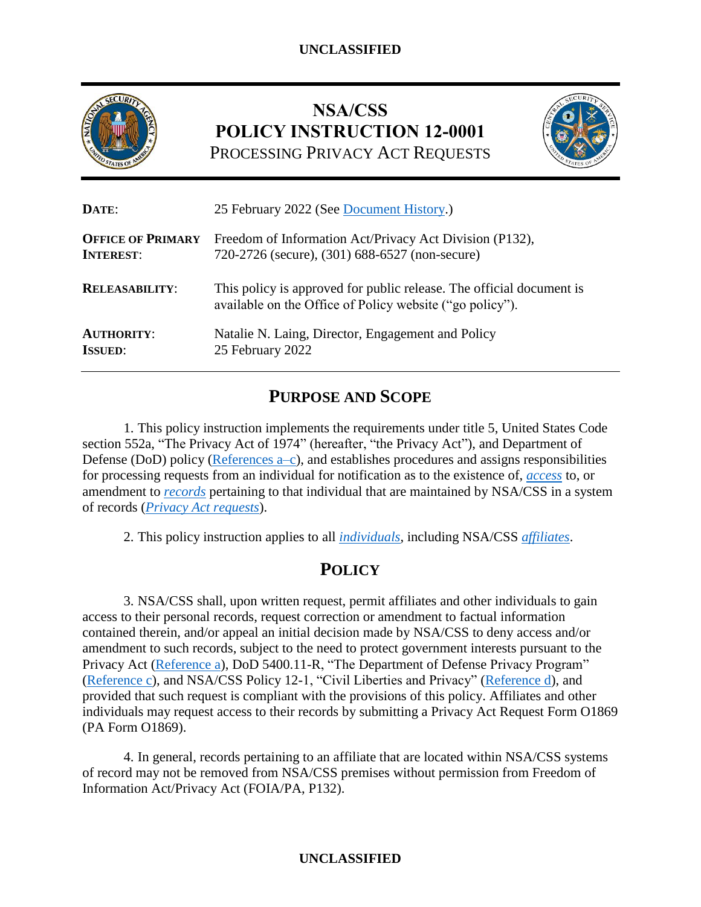

# **NSA/CSS POLICY INSTRUCTION 12-0001** PROCESSING PRIVACY ACT REQUESTS



| DATE:                    | 25 February 2022 (See Document History.)                                                                                         |  |
|--------------------------|----------------------------------------------------------------------------------------------------------------------------------|--|
| <b>OFFICE OF PRIMARY</b> | Freedom of Information Act/Privacy Act Division (P132),                                                                          |  |
| <b>INTEREST:</b>         | 720-2726 (secure), (301) 688-6527 (non-secure)                                                                                   |  |
| <b>RELEASABILITY:</b>    | This policy is approved for public release. The official document is<br>available on the Office of Policy website ("go policy"). |  |
| <b>AUTHORITY:</b>        | Natalie N. Laing, Director, Engagement and Policy                                                                                |  |
| <b>ISSUED:</b>           | 25 February 2022                                                                                                                 |  |

# **PURPOSE AND SCOPE**

1. This policy instruction implements the requirements under title 5, United States Code section 552a, "The Privacy Act of 1974" (hereafter, "the Privacy Act"), and Department of Defense (DoD) policy [\(References a–c\)](#page-2-0), and establishes procedures and assigns responsibilities for processing requests from an individual for notification as to the existence of, *[access](#page-3-0)* to, or amendment to *[records](#page-4-1)* pertaining to that individual that are maintained by NSA/CSS in a system of records (*[Privacy Act](#page-4-2) requests*).

2. This policy instruction applies to all *[individuals](#page-3-1)*, including NSA/CSS *[affiliates](#page-3-2)*.

# **POLICY**

3. NSA/CSS shall, upon written request, permit affiliates and other individuals to gain access to their personal records, request correction or amendment to factual information contained therein, and/or appeal an initial decision made by NSA/CSS to deny access and/or amendment to such records, subject to the need to protect government interests pursuant to the Privacy Act [\(Reference a\)](#page-2-0), DoD 5400.11-R, "The Department of Defense Privacy Program" [\(Reference c\)](#page-2-1), and NSA/CSS Policy 12-1, "Civil Liberties and Privacy" [\(Reference](#page-2-2) d), and provided that such request is compliant with the provisions of this policy. Affiliates and other individuals may request access to their records by submitting a Privacy Act Request Form O1869 (PA Form O1869).

4. In general, records pertaining to an affiliate that are located within NSA/CSS systems of record may not be removed from NSA/CSS premises without permission from Freedom of Information Act/Privacy Act (FOIA/PA, P132).

### **UNCLASSIFIED**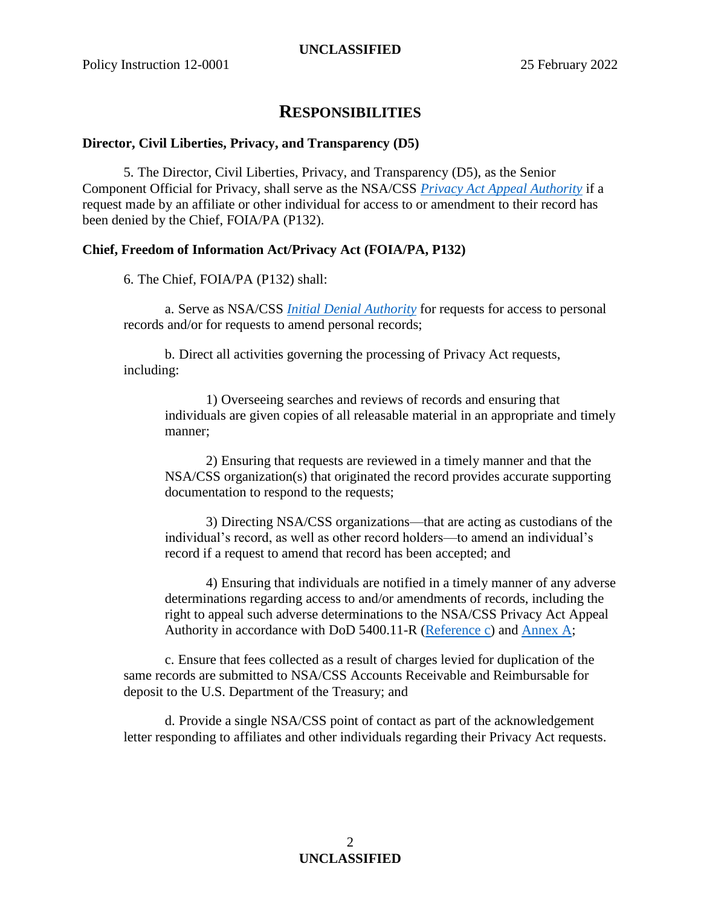### **RESPONSIBILITIES**

#### **Director, Civil Liberties, Privacy, and Transparency (D5)**

5. The Director, Civil Liberties, Privacy, and Transparency (D5), as the Senior Component Official for Privacy, shall serve as the NSA/CSS *[Privacy Act Appeal Authority](#page-4-2)* if a request made by an affiliate or other individual for access to or amendment to their record has been denied by the Chief, FOIA/PA (P132).

#### **Chief, Freedom of Information Act/Privacy Act (FOIA/PA, P132)**

6. The Chief, FOIA/PA (P132) shall:

a. Serve as NSA/CSS *[Initial Denial Authority](#page-3-3)* for requests for access to personal records and/or for requests to amend personal records;

b. Direct all activities governing the processing of Privacy Act requests, including:

1) Overseeing searches and reviews of records and ensuring that individuals are given copies of all releasable material in an appropriate and timely manner;

2) Ensuring that requests are reviewed in a timely manner and that the NSA/CSS organization(s) that originated the record provides accurate supporting documentation to respond to the requests;

3) Directing NSA/CSS organizations—that are acting as custodians of the individual's record, as well as other record holders—to amend an individual's record if a request to amend that record has been accepted; and

4) Ensuring that individuals are notified in a timely manner of any adverse determinations regarding access to and/or amendments of records, including the right to appeal such adverse determinations to the NSA/CSS Privacy Act Appeal Authority in accordance with DoD 5400.11-R [\(Reference c\)](#page-2-1) and [Annex](#page-5-0) A;

c. Ensure that fees collected as a result of charges levied for duplication of the same records are submitted to NSA/CSS Accounts Receivable and Reimbursable for deposit to the U.S. Department of the Treasury; and

d. Provide a single NSA/CSS point of contact as part of the acknowledgement letter responding to affiliates and other individuals regarding their Privacy Act requests.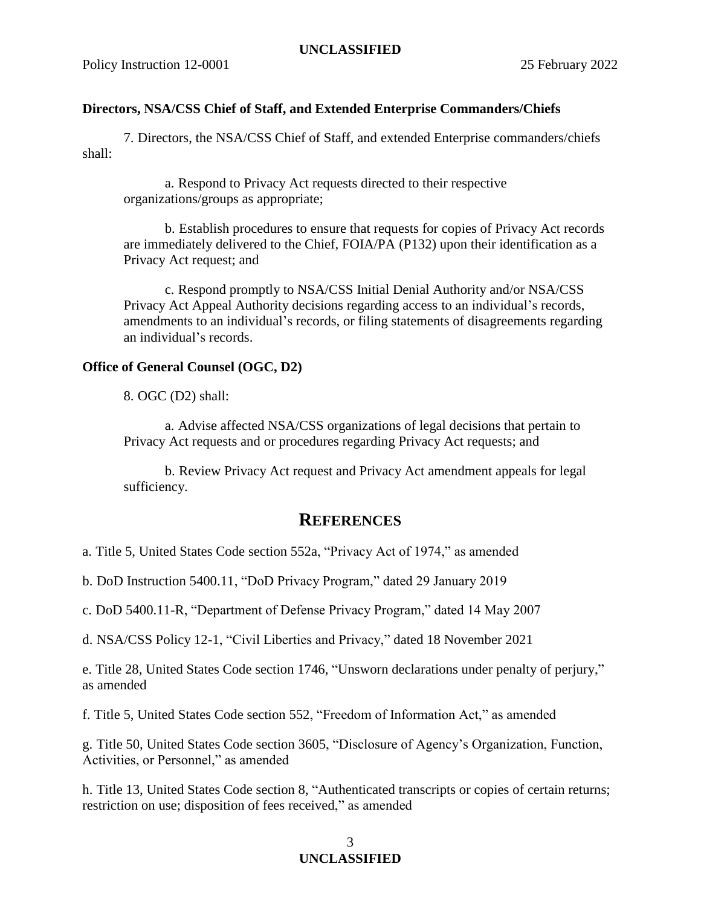#### **Directors, NSA/CSS Chief of Staff, and Extended Enterprise Commanders/Chiefs**

7. Directors, the NSA/CSS Chief of Staff, and extended Enterprise commanders/chiefs shall:

a. Respond to Privacy Act requests directed to their respective organizations/groups as appropriate;

b. Establish procedures to ensure that requests for copies of Privacy Act records are immediately delivered to the Chief, FOIA/PA (P132) upon their identification as a Privacy Act request; and

c. Respond promptly to NSA/CSS Initial Denial Authority and/or NSA/CSS Privacy Act Appeal Authority decisions regarding access to an individual's records, amendments to an individual's records, or filing statements of disagreements regarding an individual's records.

#### **Office of General Counsel (OGC, D2)**

8. OGC (D2) shall:

a. Advise affected NSA/CSS organizations of legal decisions that pertain to Privacy Act requests and or procedures regarding Privacy Act requests; and

b. Review Privacy Act request and Privacy Act amendment appeals for legal sufficiency.

#### **REFERENCES**

<span id="page-2-0"></span>a. Title 5, United States Code section 552a, "Privacy Act of 1974," as amended

<span id="page-2-5"></span>b. DoD Instruction 5400.11, "DoD Privacy Program," dated 29 January 2019

<span id="page-2-1"></span>c. DoD 5400.11-R, "Department of Defense Privacy Program," dated 14 May 2007

<span id="page-2-2"></span>d. NSA/CSS Policy 12-1, "Civil Liberties and Privacy," dated 18 November 2021

<span id="page-2-4"></span>e. Title 28, United States Code section 1746, "Unsworn declarations under penalty of perjury," as amended

<span id="page-2-3"></span>f. Title 5, United States Code section 552, "Freedom of Information Act," as amended

g. Title 50, United States Code section 3605, "Disclosure of Agency's Organization, Function, Activities, or Personnel," as amended

<span id="page-2-7"></span>h. Title 13, United States Code section 8, "Authenticated transcripts or copies of certain returns; restriction on use; disposition of fees received," as amended

#### <span id="page-2-6"></span>3 **UNCLASSIFIED**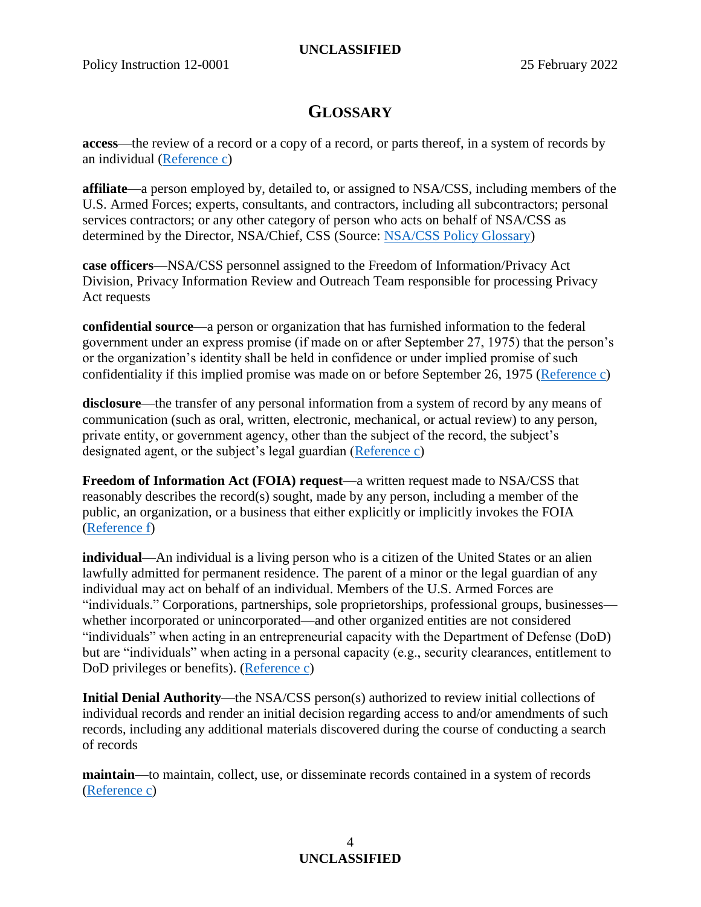#### **UNCLASSIFIED**

### **GLOSSARY**

<span id="page-3-0"></span>**access**—the review of a record or a copy of a record, or parts thereof, in a system of records by an individual [\(Reference c\)](#page-2-1)

<span id="page-3-2"></span>**affiliate**—a person employed by, detailed to, or assigned to NSA/CSS, including members of the U.S. Armed Forces; experts, consultants, and contractors, including all subcontractors; personal services contractors; or any other category of person who acts on behalf of NSA/CSS as determined by the Director, NSA/Chief, CSS (Source: [NSA/CSS Policy Glossary\)](https://siteworks.web.nsa.ic.gov/p12/a/#Affiliate5-20new)

**case officers**—NSA/CSS personnel assigned to the Freedom of Information/Privacy Act Division, Privacy Information Review and Outreach Team responsible for processing Privacy Act requests

<span id="page-3-4"></span>**confidential source**—a person or organization that has furnished information to the federal government under an express promise (if made on or after September 27, 1975) that the person's or the organization's identity shall be held in confidence or under implied promise of such confidentiality if this implied promise was made on or before September 26, 1975 [\(Reference c\)](#page-2-1)

**disclosure**—the transfer of any personal information from a system of record by any means of communication (such as oral, written, electronic, mechanical, or actual review) to any person, private entity, or government agency, other than the subject of the record, the subject's designated agent, or the subject's legal guardian [\(Reference c\)](#page-2-1)

**Freedom of Information Act (FOIA) request**—a written request made to NSA/CSS that reasonably describes the record(s) sought, made by any person, including a member of the public, an organization, or a business that either explicitly or implicitly invokes the FOIA [\(Reference f\)](#page-2-3)

<span id="page-3-1"></span>**individual**—An individual is a living person who is a citizen of the United States or an alien lawfully admitted for permanent residence. The parent of a minor or the legal guardian of any individual may act on behalf of an individual. Members of the U.S. Armed Forces are "individuals." Corporations, partnerships, sole proprietorships, professional groups, businesses whether incorporated or unincorporated—and other organized entities are not considered "individuals" when acting in an entrepreneurial capacity with the Department of Defense (DoD) but are "individuals" when acting in a personal capacity (e.g., security clearances, entitlement to DoD privileges or benefits). [\(Reference c\)](#page-2-1)

<span id="page-3-3"></span>**Initial Denial Authority**—the NSA/CSS person(s) authorized to review initial collections of individual records and render an initial decision regarding access to and/or amendments of such records, including any additional materials discovered during the course of conducting a search of records

**maintain**—to maintain, collect, use, or disseminate records contained in a system of records [\(Reference c\)](#page-2-1)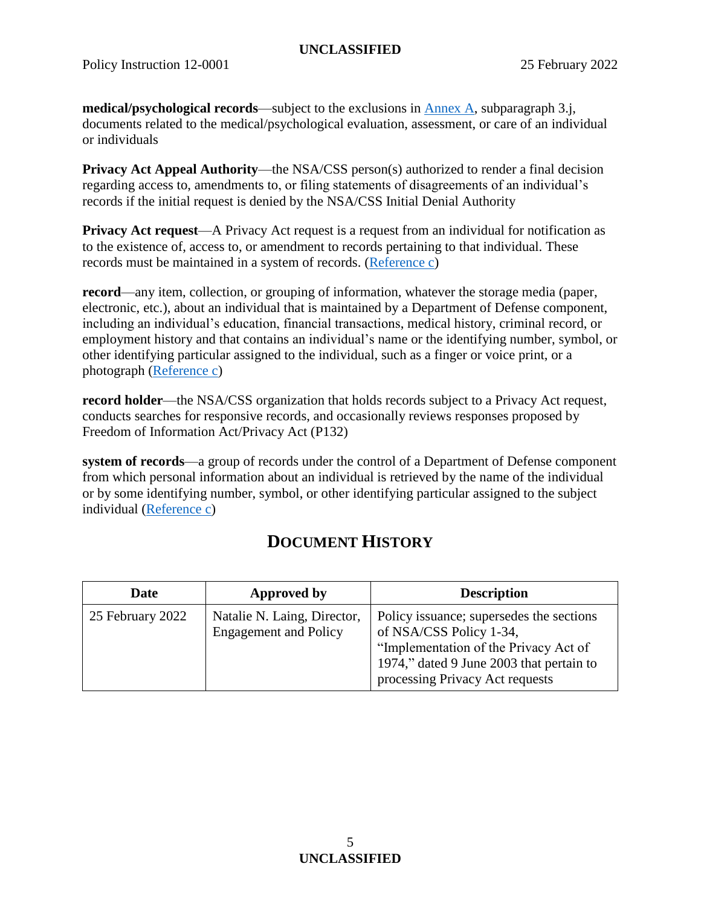#### **UNCLASSIFIED**

<span id="page-4-3"></span>**medical/psychological records**—subject to the exclusions in [Annex](#page-5-0) A, subparagraph 3.j, documents related to the medical/psychological evaluation, assessment, or care of an individual or individuals

<span id="page-4-2"></span>**Privacy Act Appeal Authority—the NSA/CSS person(s) authorized to render a final decision** regarding access to, amendments to, or filing statements of disagreements of an individual's records if the initial request is denied by the NSA/CSS Initial Denial Authority

**Privacy Act request—A** Privacy Act request is a request from an individual for notification as to the existence of, access to, or amendment to records pertaining to that individual. These records must be maintained in a system of records. [\(Reference c\)](#page-2-1)

<span id="page-4-1"></span>**record**—any item, collection, or grouping of information, whatever the storage media (paper, electronic, etc.), about an individual that is maintained by a Department of Defense component, including an individual's education, financial transactions, medical history, criminal record, or employment history and that contains an individual's name or the identifying number, symbol, or other identifying particular assigned to the individual, such as a finger or voice print, or a photograph [\(Reference c\)](#page-2-1)

**record holder**—the NSA/CSS organization that holds records subject to a Privacy Act request, conducts searches for responsive records, and occasionally reviews responses proposed by Freedom of Information Act/Privacy Act (P132)

**system of records**—a group of records under the control of a Department of Defense component from which personal information about an individual is retrieved by the name of the individual or by some identifying number, symbol, or other identifying particular assigned to the subject individual [\(Reference c\)](#page-2-1)

## **DOCUMENT HISTORY**

<span id="page-4-0"></span>

| Date             | Approved by                                                 | <b>Description</b>                                                                                                                                                                          |
|------------------|-------------------------------------------------------------|---------------------------------------------------------------------------------------------------------------------------------------------------------------------------------------------|
| 25 February 2022 | Natalie N. Laing, Director,<br><b>Engagement</b> and Policy | Policy issuance; supersedes the sections<br>of NSA/CSS Policy 1-34,<br>"Implementation of the Privacy Act of<br>1974," dated 9 June 2003 that pertain to<br>processing Privacy Act requests |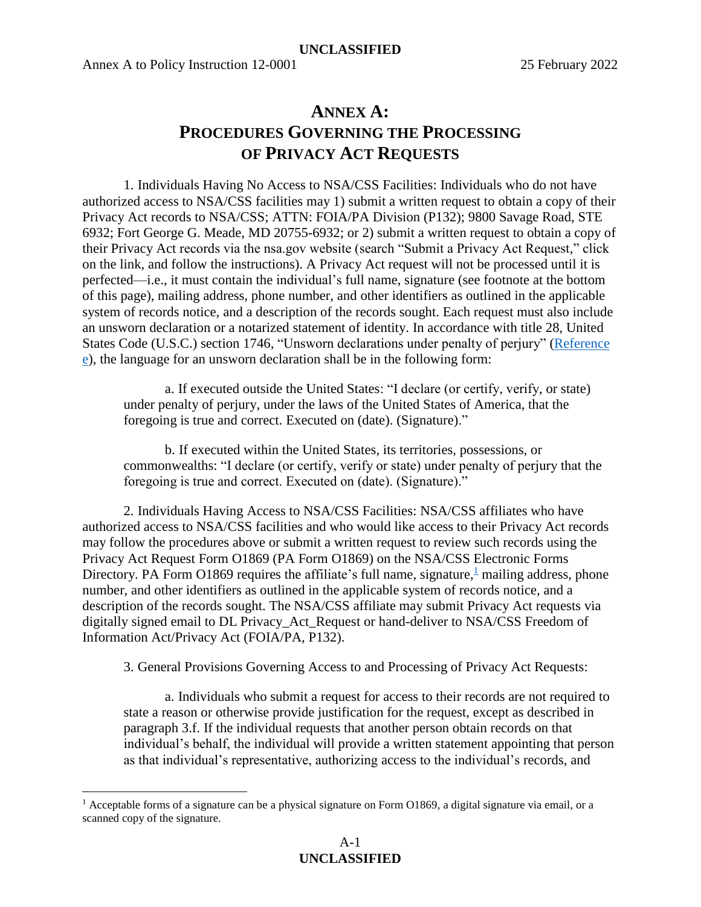$\overline{a}$ 

## **ANNEX A: PROCEDURES GOVERNING THE PROCESSING OF PRIVACY ACT REQUESTS**

<span id="page-5-0"></span>1. Individuals Having No Access to NSA/CSS Facilities: Individuals who do not have authorized access to NSA/CSS facilities may 1) submit a written request to obtain a copy of their Privacy Act records to NSA/CSS; ATTN: FOIA/PA Division (P132); 9800 Savage Road, STE 6932; Fort George G. Meade, MD 20755-6932; or 2) submit a written request to obtain a copy of their Privacy Act records via the nsa.gov website (search "Submit a Privacy Act Request," click on the link, and follow the instructions). A Privacy Act request will not be processed until it is perfected—i.e., it must contain the individual's full name, signature (see footnote at the bottom of this page), mailing address, phone number, and other identifiers as outlined in the applicable system of records notice, and a description of the records sought. Each request must also include an unsworn declaration or a notarized statement of identity. In accordance with title 28, United States Code (U.S.C.) section 1746, "Unsworn declarations under penalty of perjury" [\(Reference](#page-2-4)  [e\)](#page-2-4), the language for an unsworn declaration shall be in the following form:

a. If executed outside the United States: "I declare (or certify, verify, or state) under penalty of perjury, under the laws of the United States of America, that the foregoing is true and correct. Executed on (date). (Signature)."

b. If executed within the United States, its territories, possessions, or commonwealths: "I declare (or certify, verify or state) under penalty of perjury that the foregoing is true and correct. Executed on (date). (Signature)."

2. Individuals Having Access to NSA/CSS Facilities: NSA/CSS affiliates who have authorized access to NSA/CSS facilities and who would like access to their Privacy Act records may follow the procedures above or submit a written request to review such records using the Privacy Act Request Form O1869 (PA Form O1869) on the NSA/CSS Electronic Forms Directory. PA Form O[1](#page-5-1)869 requires the affiliate's full name, signature,  $\frac{1}{2}$  mailing address, phone number, and other identifiers as outlined in the applicable system of records notice, and a description of the records sought. The NSA/CSS affiliate may submit Privacy Act requests via digitally signed email to DL Privacy\_Act\_Request or hand-deliver to NSA/CSS Freedom of Information Act/Privacy Act (FOIA/PA, P132).

3. General Provisions Governing Access to and Processing of Privacy Act Requests:

a. Individuals who submit a request for access to their records are not required to state a reason or otherwise provide justification for the request, except as described in paragraph 3.f. If the individual requests that another person obtain records on that individual's behalf, the individual will provide a written statement appointing that person as that individual's representative, authorizing access to the individual's records, and

<span id="page-5-1"></span><sup>&</sup>lt;sup>1</sup> Acceptable forms of a signature can be a physical signature on Form O1869, a digital signature via email, or a scanned copy of the signature.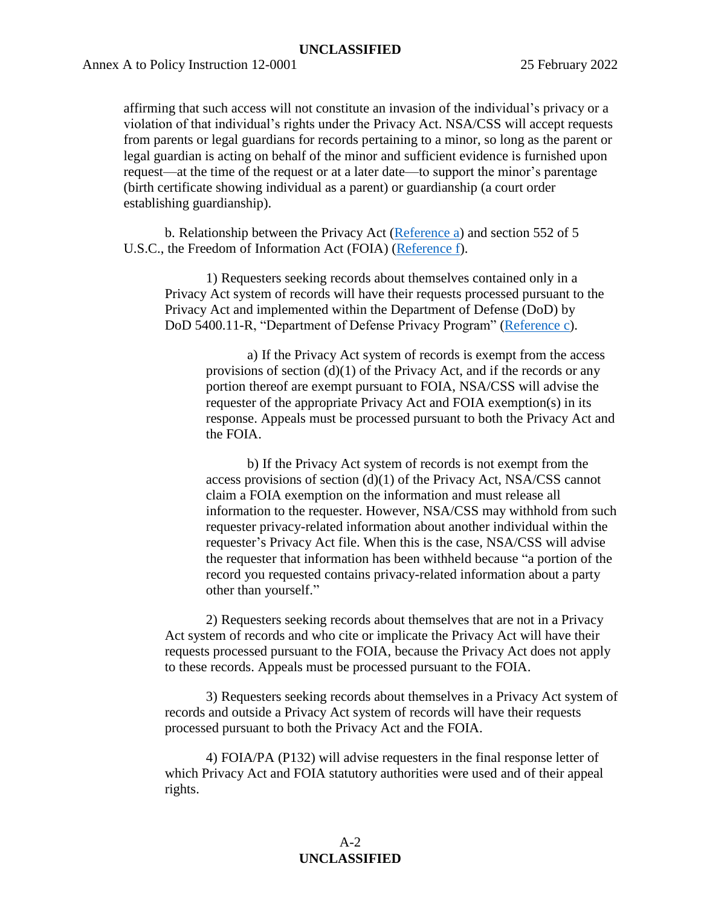#### **UNCLASSIFIED**

Annex A to Policy Instruction 12-0001 25 February 2022

affirming that such access will not constitute an invasion of the individual's privacy or a violation of that individual's rights under the Privacy Act. NSA/CSS will accept requests from parents or legal guardians for records pertaining to a minor, so long as the parent or legal guardian is acting on behalf of the minor and sufficient evidence is furnished upon request—at the time of the request or at a later date—to support the minor's parentage (birth certificate showing individual as a parent) or guardianship (a court order establishing guardianship).

b. Relationship between the Privacy Act [\(Reference a\)](#page-2-0) and section 552 of 5 U.S.C., the Freedom of Information Act (FOIA) [\(Reference f\)](#page-2-3).

1) Requesters seeking records about themselves contained only in a Privacy Act system of records will have their requests processed pursuant to the Privacy Act and implemented within the Department of Defense (DoD) by DoD 5400.11-R, "Department of Defense Privacy Program" [\(Reference c\)](#page-2-1).

a) If the Privacy Act system of records is exempt from the access provisions of section  $(d)(1)$  of the Privacy Act, and if the records or any portion thereof are exempt pursuant to FOIA, NSA/CSS will advise the requester of the appropriate Privacy Act and FOIA exemption(s) in its response. Appeals must be processed pursuant to both the Privacy Act and the FOIA.

b) If the Privacy Act system of records is not exempt from the access provisions of section (d)(1) of the Privacy Act, NSA/CSS cannot claim a FOIA exemption on the information and must release all information to the requester. However, NSA/CSS may withhold from such requester privacy-related information about another individual within the requester's Privacy Act file. When this is the case, NSA/CSS will advise the requester that information has been withheld because "a portion of the record you requested contains privacy-related information about a party other than yourself."

2) Requesters seeking records about themselves that are not in a Privacy Act system of records and who cite or implicate the Privacy Act will have their requests processed pursuant to the FOIA, because the Privacy Act does not apply to these records. Appeals must be processed pursuant to the FOIA.

3) Requesters seeking records about themselves in a Privacy Act system of records and outside a Privacy Act system of records will have their requests processed pursuant to both the Privacy Act and the FOIA.

4) FOIA/PA (P132) will advise requesters in the final response letter of which Privacy Act and FOIA statutory authorities were used and of their appeal rights.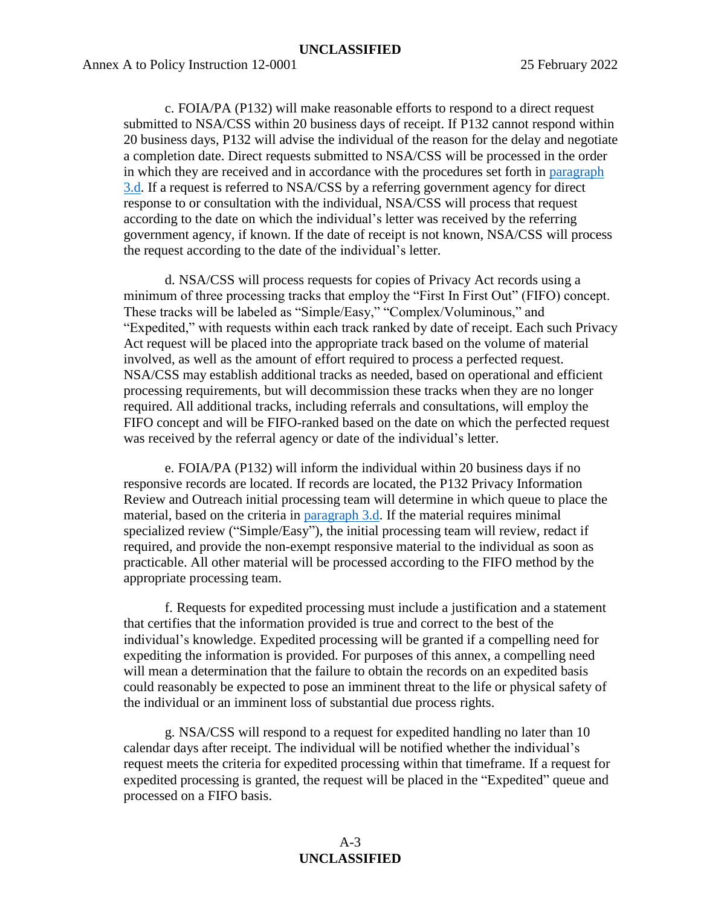c. FOIA/PA (P132) will make reasonable efforts to respond to a direct request submitted to NSA/CSS within 20 business days of receipt. If P132 cannot respond within 20 business days, P132 will advise the individual of the reason for the delay and negotiate a completion date. Direct requests submitted to NSA/CSS will be processed in the order in which they are received and in accordance with the procedures set forth in [paragraph](#page-7-0)  [3.d.](#page-7-0) If a request is referred to NSA/CSS by a referring government agency for direct response to or consultation with the individual, NSA/CSS will process that request according to the date on which the individual's letter was received by the referring government agency, if known. If the date of receipt is not known, NSA/CSS will process the request according to the date of the individual's letter.

<span id="page-7-0"></span>d. NSA/CSS will process requests for copies of Privacy Act records using a minimum of three processing tracks that employ the "First In First Out" (FIFO) concept. These tracks will be labeled as "Simple/Easy," "Complex/Voluminous," and "Expedited," with requests within each track ranked by date of receipt. Each such Privacy Act request will be placed into the appropriate track based on the volume of material involved, as well as the amount of effort required to process a perfected request. NSA/CSS may establish additional tracks as needed, based on operational and efficient processing requirements, but will decommission these tracks when they are no longer required. All additional tracks, including referrals and consultations, will employ the FIFO concept and will be FIFO-ranked based on the date on which the perfected request was received by the referral agency or date of the individual's letter.

e. FOIA/PA (P132) will inform the individual within 20 business days if no responsive records are located. If records are located, the P132 Privacy Information Review and Outreach initial processing team will determine in which queue to place the material, based on the criteria in [paragraph 3.d.](#page-7-0) If the material requires minimal specialized review ("Simple/Easy"), the initial processing team will review, redact if required, and provide the non-exempt responsive material to the individual as soon as practicable. All other material will be processed according to the FIFO method by the appropriate processing team.

f. Requests for expedited processing must include a justification and a statement that certifies that the information provided is true and correct to the best of the individual's knowledge. Expedited processing will be granted if a compelling need for expediting the information is provided. For purposes of this annex, a compelling need will mean a determination that the failure to obtain the records on an expedited basis could reasonably be expected to pose an imminent threat to the life or physical safety of the individual or an imminent loss of substantial due process rights.

g. NSA/CSS will respond to a request for expedited handling no later than 10 calendar days after receipt. The individual will be notified whether the individual's request meets the criteria for expedited processing within that timeframe. If a request for expedited processing is granted, the request will be placed in the "Expedited" queue and processed on a FIFO basis.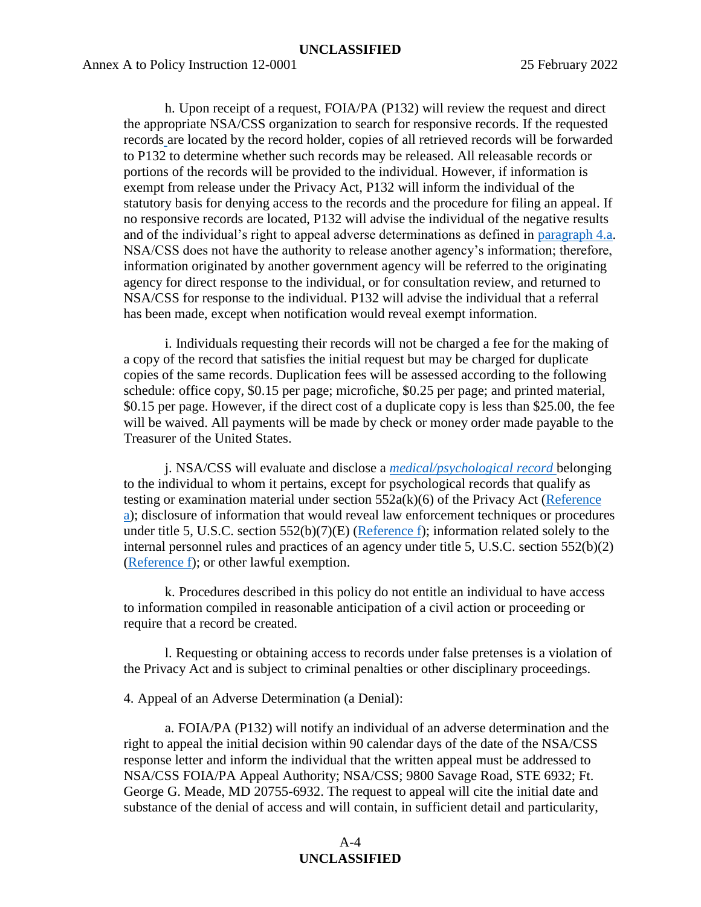h. Upon receipt of a request, FOIA/PA (P132) will review the request and direct the appropriate NSA/CSS organization to search for responsive records. If the requested records are located by the record holder, copies of all retrieved records will be forwarded to P132 to determine whether such records may be released. All releasable records or portions of the records will be provided to the individual. However, if information is exempt from release under the Privacy Act, P132 will inform the individual of the statutory basis for denying access to the records and the procedure for filing an appeal. If no responsive records are located, P132 will advise the individual of the negative results and of the individual's right to appeal adverse determinations as defined in [paragraph 4.a.](#page-8-0) NSA/CSS does not have the authority to release another agency's information; therefore, information originated by another government agency will be referred to the originating agency for direct response to the individual, or for consultation review, and returned to NSA/CSS for response to the individual. P132 will advise the individual that a referral has been made, except when notification would reveal exempt information.

i. Individuals requesting their records will not be charged a fee for the making of a copy of the record that satisfies the initial request but may be charged for duplicate copies of the same records. Duplication fees will be assessed according to the following schedule: office copy, \$0.15 per page; microfiche, \$0.25 per page; and printed material, \$0.15 per page. However, if the direct cost of a duplicate copy is less than \$25.00, the fee will be waived. All payments will be made by check or money order made payable to the Treasurer of the United States.

j. NSA/CSS will evaluate and disclose a *[medical/psychological record](#page-4-3)* belonging to the individual to whom it pertains, except for psychological records that qualify as testing or examination material under section 552a(k)(6) of the Privacy Act [\(Reference](#page-2-0)  [a\)](#page-2-0); disclosure of information that would reveal law enforcement techniques or procedures under title 5, U.S.C. section  $552(b)(7)(E)$  [\(Reference f\)](#page-2-3); information related solely to the internal personnel rules and practices of an agency under title 5, U.S.C. section 552(b)(2) [\(Reference f\)](#page-2-3); or other lawful exemption.

k. Procedures described in this policy do not entitle an individual to have access to information compiled in reasonable anticipation of a civil action or proceeding or require that a record be created.

l. Requesting or obtaining access to records under false pretenses is a violation of the Privacy Act and is subject to criminal penalties or other disciplinary proceedings.

4. Appeal of an Adverse Determination (a Denial):

<span id="page-8-0"></span>a. FOIA/PA (P132) will notify an individual of an adverse determination and the right to appeal the initial decision within 90 calendar days of the date of the NSA/CSS response letter and inform the individual that the written appeal must be addressed to NSA/CSS FOIA/PA Appeal Authority; NSA/CSS; 9800 Savage Road, STE 6932; Ft. George G. Meade, MD 20755-6932. The request to appeal will cite the initial date and substance of the denial of access and will contain, in sufficient detail and particularity,

#### $A-4$ **UNCLASSIFIED**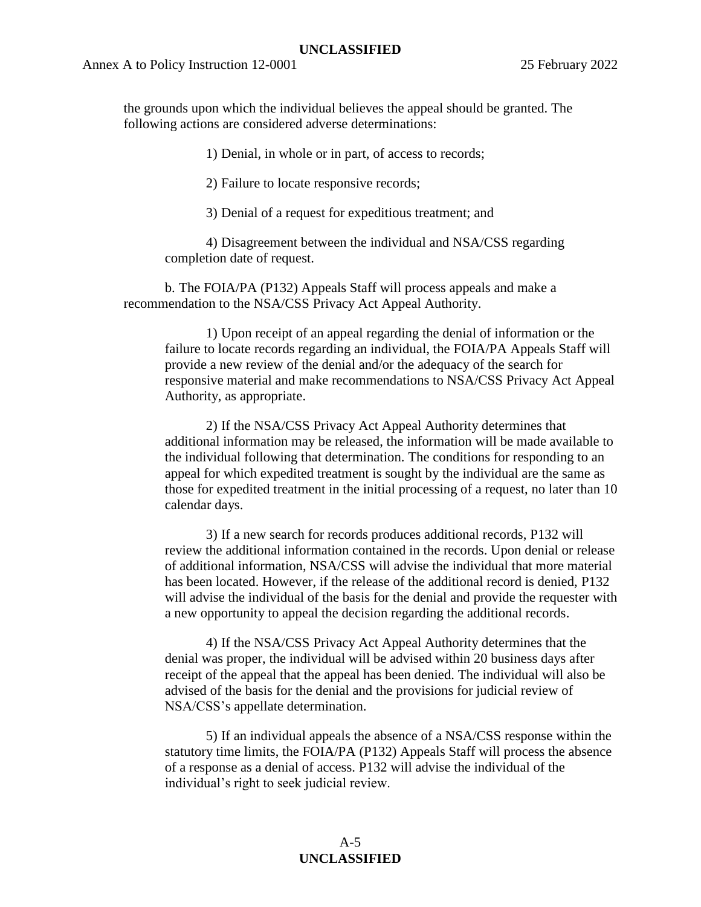the grounds upon which the individual believes the appeal should be granted. The following actions are considered adverse determinations:

1) Denial, in whole or in part, of access to records;

2) Failure to locate responsive records;

3) Denial of a request for expeditious treatment; and

4) Disagreement between the individual and NSA/CSS regarding completion date of request.

b. The FOIA/PA (P132) Appeals Staff will process appeals and make a recommendation to the NSA/CSS Privacy Act Appeal Authority.

1) Upon receipt of an appeal regarding the denial of information or the failure to locate records regarding an individual, the FOIA/PA Appeals Staff will provide a new review of the denial and/or the adequacy of the search for responsive material and make recommendations to NSA/CSS Privacy Act Appeal Authority, as appropriate.

2) If the NSA/CSS Privacy Act Appeal Authority determines that additional information may be released, the information will be made available to the individual following that determination. The conditions for responding to an appeal for which expedited treatment is sought by the individual are the same as those for expedited treatment in the initial processing of a request, no later than 10 calendar days.

3) If a new search for records produces additional records, P132 will review the additional information contained in the records. Upon denial or release of additional information, NSA/CSS will advise the individual that more material has been located. However, if the release of the additional record is denied, P132 will advise the individual of the basis for the denial and provide the requester with a new opportunity to appeal the decision regarding the additional records.

4) If the NSA/CSS Privacy Act Appeal Authority determines that the denial was proper, the individual will be advised within 20 business days after receipt of the appeal that the appeal has been denied. The individual will also be advised of the basis for the denial and the provisions for judicial review of NSA/CSS's appellate determination.

5) If an individual appeals the absence of a NSA/CSS response within the statutory time limits, the FOIA/PA (P132) Appeals Staff will process the absence of a response as a denial of access. P132 will advise the individual of the individual's right to seek judicial review.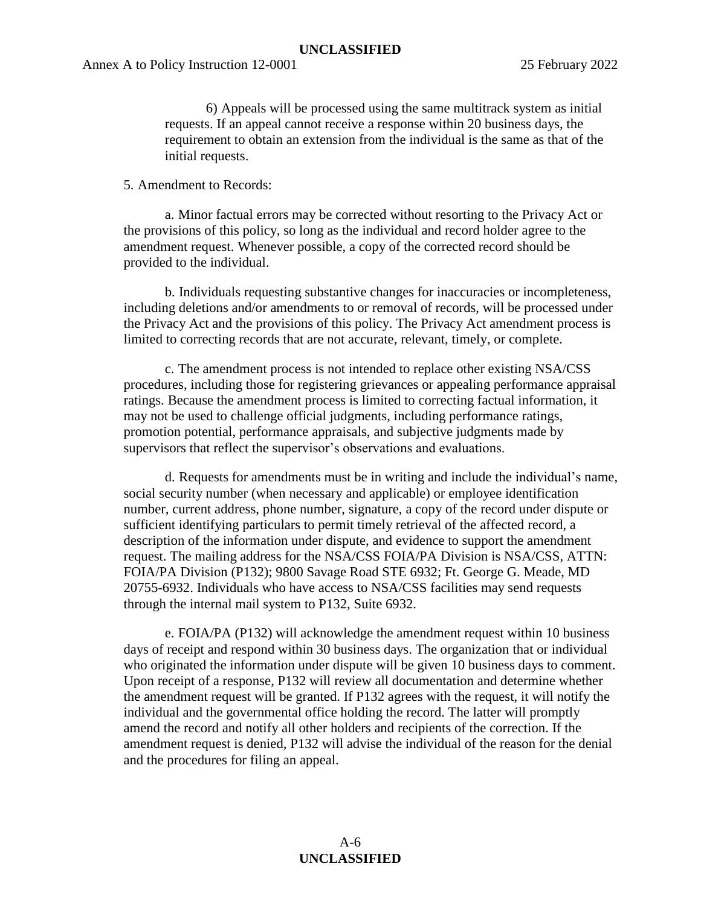6) Appeals will be processed using the same multitrack system as initial requests. If an appeal cannot receive a response within 20 business days, the requirement to obtain an extension from the individual is the same as that of the initial requests.

#### 5. Amendment to Records:

a. Minor factual errors may be corrected without resorting to the Privacy Act or the provisions of this policy, so long as the individual and record holder agree to the amendment request. Whenever possible, a copy of the corrected record should be provided to the individual.

b. Individuals requesting substantive changes for inaccuracies or incompleteness, including deletions and/or amendments to or removal of records, will be processed under the Privacy Act and the provisions of this policy. The Privacy Act amendment process is limited to correcting records that are not accurate, relevant, timely, or complete.

c. The amendment process is not intended to replace other existing NSA/CSS procedures, including those for registering grievances or appealing performance appraisal ratings. Because the amendment process is limited to correcting factual information, it may not be used to challenge official judgments, including performance ratings, promotion potential, performance appraisals, and subjective judgments made by supervisors that reflect the supervisor's observations and evaluations.

d. Requests for amendments must be in writing and include the individual's name, social security number (when necessary and applicable) or employee identification number, current address, phone number, signature, a copy of the record under dispute or sufficient identifying particulars to permit timely retrieval of the affected record, a description of the information under dispute, and evidence to support the amendment request. The mailing address for the NSA/CSS FOIA/PA Division is NSA/CSS, ATTN: FOIA/PA Division (P132); 9800 Savage Road STE 6932; Ft. George G. Meade, MD 20755-6932. Individuals who have access to NSA/CSS facilities may send requests through the internal mail system to P132, Suite 6932.

e. FOIA/PA (P132) will acknowledge the amendment request within 10 business days of receipt and respond within 30 business days. The organization that or individual who originated the information under dispute will be given 10 business days to comment. Upon receipt of a response, P132 will review all documentation and determine whether the amendment request will be granted. If P132 agrees with the request, it will notify the individual and the governmental office holding the record. The latter will promptly amend the record and notify all other holders and recipients of the correction. If the amendment request is denied, P132 will advise the individual of the reason for the denial and the procedures for filing an appeal.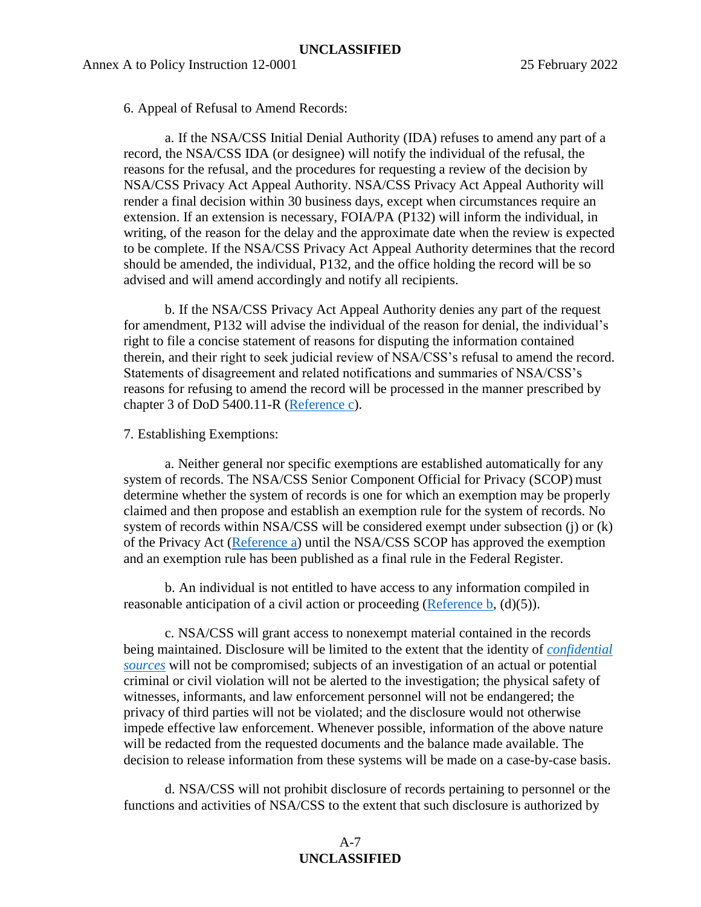6. Appeal of Refusal to Amend Records:

a. If the NSA/CSS Initial Denial Authority (IDA) refuses to amend any part of a record, the NSA/CSS IDA (or designee) will notify the individual of the refusal, the reasons for the refusal, and the procedures for requesting a review of the decision by NSA/CSS Privacy Act Appeal Authority. NSA/CSS Privacy Act Appeal Authority will render a final decision within 30 business days, except when circumstances require an extension. If an extension is necessary, FOIA/PA (P132) will inform the individual, in writing, of the reason for the delay and the approximate date when the review is expected to be complete. If the NSA/CSS Privacy Act Appeal Authority determines that the record should be amended, the individual, P132, and the office holding the record will be so advised and will amend accordingly and notify all recipients.

b. If the NSA/CSS Privacy Act Appeal Authority denies any part of the request for amendment, P132 will advise the individual of the reason for denial, the individual's right to file a concise statement of reasons for disputing the information contained therein, and their right to seek judicial review of NSA/CSS's refusal to amend the record. Statements of disagreement and related notifications and summaries of NSA/CSS's reasons for refusing to amend the record will be processed in the manner prescribed by chapter 3 of DoD 5400.11-R [\(Reference c\)](#page-2-1).

7. Establishing Exemptions:

a. Neither general nor specific exemptions are established automatically for any system of records. The NSA/CSS Senior Component Official for Privacy (SCOP) must determine whether the system of records is one for which an exemption may be properly claimed and then propose and establish an exemption rule for the system of records. No system of records within NSA/CSS will be considered exempt under subsection (j) or (k) of the Privacy Act [\(Reference a\)](#page-2-0) until the NSA/CSS SCOP has approved the exemption and an exemption rule has been published as a final rule in the Federal Register.

b. An individual is not entitled to have access to any information compiled in reasonable anticipation of a civil action or proceeding [\(Reference b,](#page-2-5)  $(d)(5)$ ).

c. NSA/CSS will grant access to nonexempt material contained in the records being maintained. Disclosure will be limited to the extent that the identity of *[confidential](#page-3-4)  [sources](#page-3-4)* will not be compromised; subjects of an investigation of an actual or potential criminal or civil violation will not be alerted to the investigation; the physical safety of witnesses, informants, and law enforcement personnel will not be endangered; the privacy of third parties will not be violated; and the disclosure would not otherwise impede effective law enforcement. Whenever possible, information of the above nature will be redacted from the requested documents and the balance made available. The decision to release information from these systems will be made on a case-by-case basis.

d. NSA/CSS will not prohibit disclosure of records pertaining to personnel or the functions and activities of NSA/CSS to the extent that such disclosure is authorized by

#### A-7 **UNCLASSIFIED**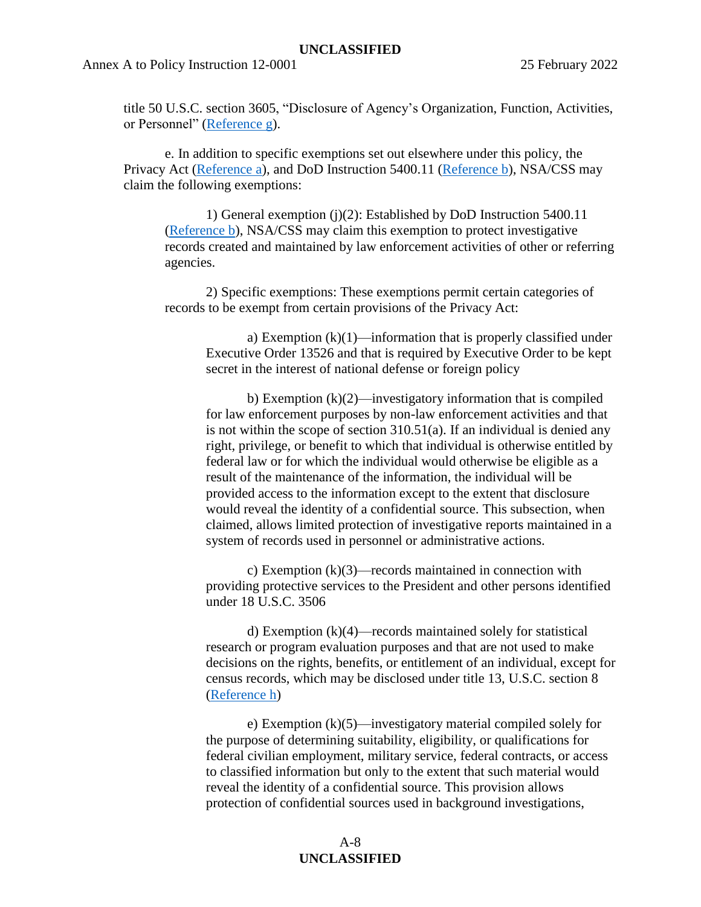title 50 U.S.C. section 3605, "Disclosure of Agency's Organization, Function, Activities, or Personnel" [\(Reference g\)](#page-2-6).

e. In addition to specific exemptions set out elsewhere under this policy, the Privacy Act [\(Reference a\)](#page-2-0), and DoD Instruction 5400.11 [\(Reference b\)](#page-2-5), NSA/CSS may claim the following exemptions:

1) General exemption (j)(2): Established by DoD Instruction 5400.11 [\(Reference b\)](#page-2-5), NSA/CSS may claim this exemption to protect investigative records created and maintained by law enforcement activities of other or referring agencies.

2) Specific exemptions: These exemptions permit certain categories of records to be exempt from certain provisions of the Privacy Act:

a) Exemption  $(k)(1)$ —information that is properly classified under Executive Order 13526 and that is required by Executive Order to be kept secret in the interest of national defense or foreign policy

b) Exemption  $(k)(2)$ —investigatory information that is compiled for law enforcement purposes by non-law enforcement activities and that is not within the scope of section 310.51(a). If an individual is denied any right, privilege, or benefit to which that individual is otherwise entitled by federal law or for which the individual would otherwise be eligible as a result of the maintenance of the information, the individual will be provided access to the information except to the extent that disclosure would reveal the identity of a confidential source. This subsection, when claimed, allows limited protection of investigative reports maintained in a system of records used in personnel or administrative actions.

c) Exemption (k)(3)—records maintained in connection with providing protective services to the President and other persons identified under 18 U.S.C. 3506

d) Exemption (k)(4)—records maintained solely for statistical research or program evaluation purposes and that are not used to make decisions on the rights, benefits, or entitlement of an individual, except for census records, which may be disclosed under title 13, U.S.C. section 8 [\(Reference h\)](#page-2-7)

e) Exemption (k)(5)—investigatory material compiled solely for the purpose of determining suitability, eligibility, or qualifications for federal civilian employment, military service, federal contracts, or access to classified information but only to the extent that such material would reveal the identity of a confidential source. This provision allows protection of confidential sources used in background investigations,